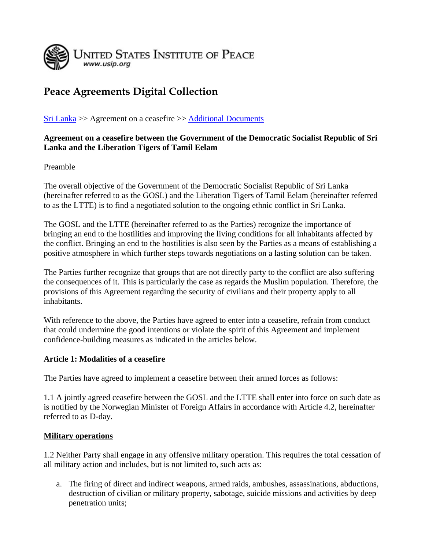

# **Peace Agreements Digital Collection**

[Sri Lanka](http://www.usip.org/library/pa/sri_lanka/pa_sri_lanka.html) >> Agreement on a ceasefire >> [Additional Documents](http://www.usip.org/library/pa/sri_lanka/pa_sri_lanka.html#add)

#### **Agreement on a ceasefire between the Government of the Democratic Socialist Republic of Sri Lanka and the Liberation Tigers of Tamil Eelam**

Preamble

The overall objective of the Government of the Democratic Socialist Republic of Sri Lanka (hereinafter referred to as the GOSL) and the Liberation Tigers of Tamil Eelam (hereinafter referred to as the LTTE) is to find a negotiated solution to the ongoing ethnic conflict in Sri Lanka.

The GOSL and the LTTE (hereinafter referred to as the Parties) recognize the importance of bringing an end to the hostilities and improving the living conditions for all inhabitants affected by the conflict. Bringing an end to the hostilities is also seen by the Parties as a means of establishing a positive atmosphere in which further steps towards negotiations on a lasting solution can be taken.

The Parties further recognize that groups that are not directly party to the conflict are also suffering the consequences of it. This is particularly the case as regards the Muslim population. Therefore, the provisions of this Agreement regarding the security of civilians and their property apply to all inhabitants.

With reference to the above, the Parties have agreed to enter into a ceasefire, refrain from conduct that could undermine the good intentions or violate the spirit of this Agreement and implement confidence-building measures as indicated in the articles below.

## **Article 1: Modalities of a ceasefire**

The Parties have agreed to implement a ceasefire between their armed forces as follows:

1.1 A jointly agreed ceasefire between the GOSL and the LTTE shall enter into force on such date as is notified by the Norwegian Minister of Foreign Affairs in accordance with Article 4.2, hereinafter referred to as D-day.

## **Military operations**

1.2 Neither Party shall engage in any offensive military operation. This requires the total cessation of all military action and includes, but is not limited to, such acts as:

a. The firing of direct and indirect weapons, armed raids, ambushes, assassinations, abductions, destruction of civilian or military property, sabotage, suicide missions and activities by deep penetration units;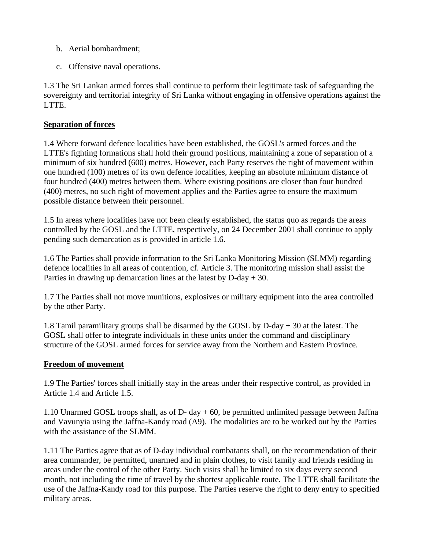- b. Aerial bombardment;
- c. Offensive naval operations.

1.3 The Sri Lankan armed forces shall continue to perform their legitimate task of safeguarding the sovereignty and territorial integrity of Sri Lanka without engaging in offensive operations against the LTTE.

## **Separation of forces**

1.4 Where forward defence localities have been established, the GOSL's armed forces and the LTTE's fighting formations shall hold their ground positions, maintaining a zone of separation of a minimum of six hundred (600) metres. However, each Party reserves the right of movement within one hundred (100) metres of its own defence localities, keeping an absolute minimum distance of four hundred (400) metres between them. Where existing positions are closer than four hundred (400) metres, no such right of movement applies and the Parties agree to ensure the maximum possible distance between their personnel.

1.5 In areas where localities have not been clearly established, the status quo as regards the areas controlled by the GOSL and the LTTE, respectively, on 24 December 2001 shall continue to apply pending such demarcation as is provided in article 1.6.

1.6 The Parties shall provide information to the Sri Lanka Monitoring Mission (SLMM) regarding defence localities in all areas of contention, cf. Article 3. The monitoring mission shall assist the Parties in drawing up demarcation lines at the latest by  $D$ -day  $+30$ .

1.7 The Parties shall not move munitions, explosives or military equipment into the area controlled by the other Party.

1.8 Tamil paramilitary groups shall be disarmed by the GOSL by D-day + 30 at the latest. The GOSL shall offer to integrate individuals in these units under the command and disciplinary structure of the GOSL armed forces for service away from the Northern and Eastern Province*.*

## **Freedom of movement**

1.9 The Parties' forces shall initially stay in the areas under their respective control, as provided in Article 1.4 and Article 1.5.

1.10 Unarmed GOSL troops shall, as of D- day + 60, be permitted unlimited passage between Jaffna and Vavunyia using the Jaffna-Kandy road (A9). The modalities are to be worked out by the Parties with the assistance of the SLMM.

1.11 The Parties agree that as of D-day individual combatants shall, on the recommendation of their area commander, be permitted, unarmed and in plain clothes, to visit family and friends residing in areas under the control of the other Party. Such visits shall be limited to six days every second month, not including the time of travel by the shortest applicable route. The LTTE shall facilitate the use of the Jaffna-Kandy road for this purpose. The Parties reserve the right to deny entry to specified military areas.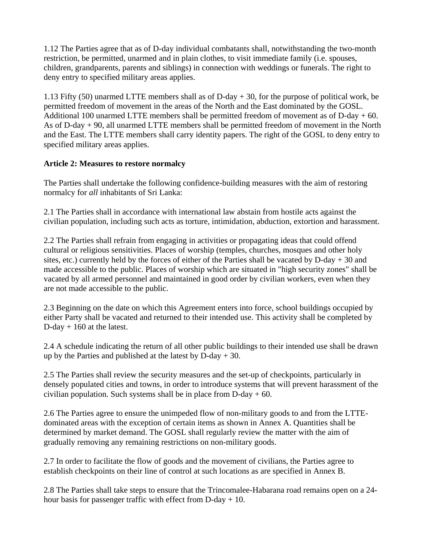1.12 The Parties agree that as of D-day individual combatants shall, notwithstanding the two-month restriction, be permitted, unarmed and in plain clothes, to visit immediate family (i.e. spouses, children, grandparents, parents and siblings) in connection with weddings or funerals. The right to deny entry to specified military areas applies.

1.13 Fifty (50) unarmed LTTE members shall as of D-day + 30, for the purpose of political work, be permitted freedom of movement in the areas of the North and the East dominated by the GOSL. Additional 100 unarmed LTTE members shall be permitted freedom of movement as of D-day  $+60$ . As of D-day + 90, all unarmed LTTE members shall be permitted freedom of movement in the North and the East. The LTTE members shall carry identity papers. The right of the GOSL to deny entry to specified military areas applies.

## **Article 2: Measures to restore normalcy**

The Parties shall undertake the following confidence-building measures with the aim of restoring normalcy for *all* inhabitants of Sri Lanka:

2.1 The Parties shall in accordance with international law abstain from hostile acts against the civilian population, including such acts as torture, intimidation, abduction, extortion and harassment.

2.2 The Parties shall refrain from engaging in activities or propagating ideas that could offend cultural or religious sensitivities. Places of worship (temples, churches, mosques and other holy sites, etc.) currently held by the forces of either of the Parties shall be vacated by D-day + 30 and made accessible to the public. Places of worship which are situated in "high security zones" shall be vacated by all armed personnel and maintained in good order by civilian workers, even when they are not made accessible to the public.

2.3 Beginning on the date on which this Agreement enters into force, school buildings occupied by either Party shall be vacated and returned to their intended use. This activity shall be completed by D-day  $+160$  at the latest.

2.4 A schedule indicating the return of all other public buildings to their intended use shall be drawn up by the Parties and published at the latest by  $D$ -day  $+30$ .

2.5 The Parties shall review the security measures and the set-up of checkpoints, particularly in densely populated cities and towns, in order to introduce systems that will prevent harassment of the civilian population. Such systems shall be in place from  $D$ -day  $+ 60$ .

2.6 The Parties agree to ensure the unimpeded flow of non-military goods to and from the LTTEdominated areas with the exception of certain items as shown in Annex A. Quantities shall be determined by market demand. The GOSL shall regularly review the matter with the aim of gradually removing any remaining restrictions on non-military goods.

2.7 In order to facilitate the flow of goods and the movement of civilians, the Parties agree to establish checkpoints on their line of control at such locations as are specified in Annex B.

2.8 The Parties shall take steps to ensure that the Trincomalee-Habarana road remains open on a 24 hour basis for passenger traffic with effect from  $D$ -day  $+ 10$ .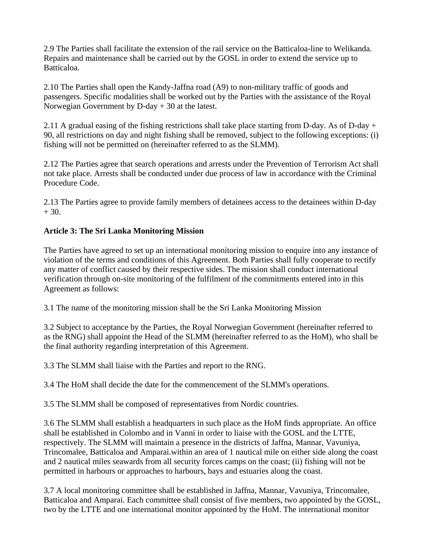2.9 The Parties shall facilitate the extension of the rail service on the Batticaloa-line to Welikanda. Repairs and maintenance shall be carried out by the GOSL in order to extend the service up to Batticaloa.

2.10 The Parties shall open the Kandy-Jaffna road (A9) to non-military traffic of goods and passengers. Specific modalities shall be worked out by the Parties with the assistance of the Royal Norwegian Government by D-day + 30 at the latest.

2.11 A gradual easing of the fishing restrictions shall take place starting from D-day. As of D-day  $+$ 90, all restrictions on day and night fishing shall be removed, subject to the following exceptions: (i) fishing will not be permitted on (hereinafter referred to as the SLMM).

2.12 The Parties agree that search operations and arrests under the Prevention of Terrorism Act shall not take place. Arrests shall be conducted under due process of law in accordance with the Criminal Procedure Code.

2.13 The Parties agree to provide family members of detainees access to the detainees within D-day  $+30.$ 

## **Article 3: The Sri Lanka Monitoring Mission**

The Parties have agreed to set up an international monitoring mission to enquire into any instance of violation of the terms and conditions of this Agreement. Both Parties shall fully cooperate to rectify any matter of conflict caused by their respective sides. The mission shall conduct international verification through on-site monitoring of the fulfilment of the commitments entered into in this Agreement as follows:

3.1 The name of the monitoring mission shall be the Sri Lanka Monitoring Mission

3.2 Subject to acceptance by the Parties, the Royal Norwegian Government (hereinafter referred to as the RNG) shall appoint the Head of the SLMM (hereinafter referred to as the HoM), who shall be the final authority regarding interpretation of this Agreement.

3.3 The SLMM shall liaise with the Parties and report to the RNG.

3.4 The HoM shall decide the date for the commencement of the SLMM's operations.

3.5 The SLMM shall be composed of representatives from Nordic countries.

3.6 The SLMM shall establish a headquarters in such place as the HoM finds appropriate. An office shall be established in Colombo and in Vanni in order to liaise with the GOSL and the LTTE, respectively. The SLMM will maintain a presence in the districts of Jaffna, Mannar, Vavuniya, Trincomalee, Batticaloa and Amparai.within an area of 1 nautical mile on either side along the coast and 2 nautical miles seawards from all security forces camps on the coast; (ii) fishing will not be permitted in harbours or approaches to harbours, bays and estuaries along the coast.

3.7 A local monitoring committee shall be established in Jaffna, Mannar, Vavuniya, Trincomalee, Batticaloa and Amparai. Each committee shall consist of five members, two appointed by the GOSL, two by the LTTE and one international monitor appointed by the HoM. The international monitor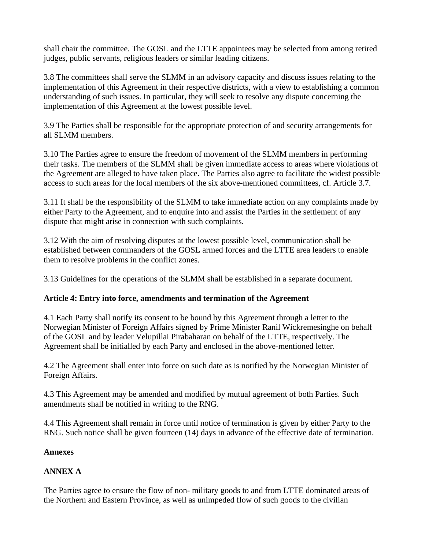shall chair the committee. The GOSL and the LTTE appointees may be selected from among retired judges, public servants, religious leaders or similar leading citizens.

3.8 The committees shall serve the SLMM in an advisory capacity and discuss issues relating to the implementation of this Agreement in their respective districts, with a view to establishing a common understanding of such issues. In particular, they will seek to resolve any dispute concerning the implementation of this Agreement at the lowest possible level.

3.9 The Parties shall be responsible for the appropriate protection of and security arrangements for all SLMM members.

3.10 The Parties agree to ensure the freedom of movement of the SLMM members in performing their tasks. The members of the SLMM shall be given immediate access to areas where violations of the Agreement are alleged to have taken place. The Parties also agree to facilitate the widest possible access to such areas for the local members of the six above-mentioned committees, cf. Article 3.7.

3.11 It shall be the responsibility of the SLMM to take immediate action on any complaints made by either Party to the Agreement, and to enquire into and assist the Parties in the settlement of any dispute that might arise in connection with such complaints.

3.12 With the aim of resolving disputes at the lowest possible level, communication shall be established between commanders of the GOSL armed forces and the LTTE area leaders to enable them to resolve problems in the conflict zones.

3.13 Guidelines for the operations of the SLMM shall be established in a separate document.

## **Article 4: Entry into force, amendments and termination of the Agreement**

4.1 Each Party shall notify its consent to be bound by this Agreement through a letter to the Norwegian Minister of Foreign Affairs signed by Prime Minister Ranil Wickremesinghe on behalf of the GOSL and by leader Velupillai Pirabaharan on behalf of the LTTE, respectively. The Agreement shall be initialled by each Party and enclosed in the above-mentioned letter.

4.2 The Agreement shall enter into force on such date as is notified by the Norwegian Minister of Foreign Affairs.

4.3 This Agreement may be amended and modified by mutual agreement of both Parties. Such amendments shall be notified in writing to the RNG.

4.4 This Agreement shall remain in force until notice of termination is given by either Party to the RNG. Such notice shall be given fourteen (14) days in advance of the effective date of termination.

## **Annexes**

# **ANNEX A**

The Parties agree to ensure the flow of non- military goods to and from LTTE dominated areas of the Northern and Eastern Province, as well as unimpeded flow of such goods to the civilian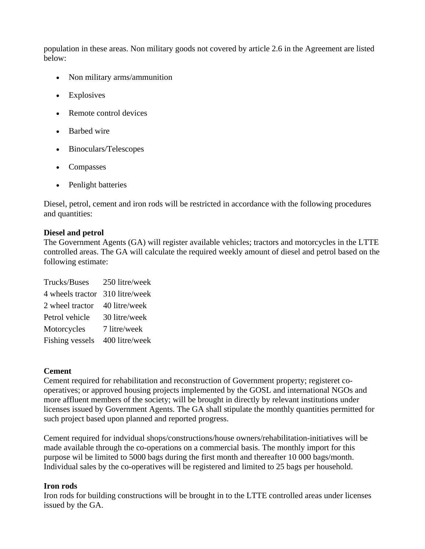population in these areas. Non military goods not covered by article 2.6 in the Agreement are listed below:

- Non military arms/ammunition
- Explosives
- Remote control devices
- Barbed wire
- Binoculars/Telescopes
- Compasses
- Penlight batteries

Diesel, petrol, cement and iron rods will be restricted in accordance with the following procedures and quantities:

#### **Diesel and petrol**

The Government Agents (GA) will register available vehicles; tractors and motorcycles in the LTTE controlled areas. The GA will calculate the required weekly amount of diesel and petrol based on the following estimate:

Trucks/Buses 250 litre/week 4 wheels tractor 310 litre/week 2 wheel tractor 40 litre/week Petrol vehicle 30 litre/week Motorcycles 7 litre/week Fishing vessels 400 litre/week

#### **Cement**

Cement required for rehabilitation and reconstruction of Government property; registeret cooperatives; or approved housing projects implemented by the GOSL and international NGOs and more affluent members of the society; will be brought in directly by relevant institutions under licenses issued by Government Agents. The GA shall stipulate the monthly quantities permitted for such project based upon planned and reported progress.

Cement required for indvidual shops/constructions/house owners/rehabilitation-initiatives will be made available through the co-operations on a commercial basis. The monthly import for this purpose wil be limited to 5000 bags during the first month and thereafter 10 000 bags/month. Individual sales by the co-operatives will be registered and limited to 25 bags per household.

#### **Iron rods**

Iron rods for building constructions will be brought in to the LTTE controlled areas under licenses issued by the GA.